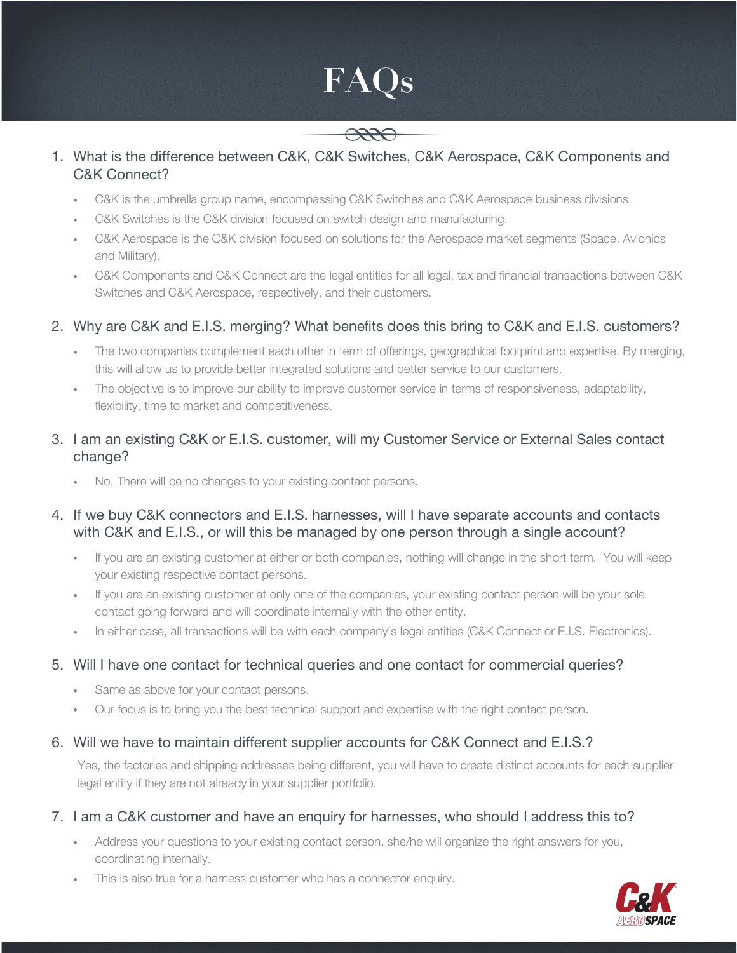# **FAQs**



#### 1. What is the difference between C&K, C&K Switches, C&K Aerospace, C&K Components and C&K Connect?

- . C&K is the umbrella group name, encompassing C&K Switches and C&K Aerospace business divisions.
- . C&K Switches is the C&K division focused on switch design and manufacturing.
- ! C&K Aerospace is the C&K division focused on solutions for the Aerospace market segments (Space, Avionics and Military).
- ! C&K Components and C&K Connect are the legal entities for all legal, tax and financial transactions between C&K Switches and C&K Aerospace, respectively, and their customers.

# 2. Why are C&K and E.I.S. merging? What benefits does this bring to C&K and E.I.S. customers?

- . The two companies complement each other in term of offerings, geographical footprint and expertise. By merging, this will allow us to provide better integrated solutions and better service to our customers.
- ! The objective is to improve our ability to improve customer service in terms of responsiveness, adaptability, flexibility, time to market and competitiveness.

#### 3. I am an existing C&K or E.I.S. customer, will my Customer Service or External Sales contact change?

! No. There will be no changes to your existing contact persons.

## 4. If we buy C&K connectors and E.I.S. harnesses, will I have separate accounts and contacts with C&K and E.I.S., or will this be managed by one person through a single account?

- ! If you are an existing customer at either or both companies, nothing will change in the short term. You will keep your existing respective contact persons.
- ! If you are an existing customer at only one of the companies, your existing contact person will be your sole contact going forward and will coordinate internally with the other entity.
- . In either case, all transactions will be with each company's legal entities (C&K Connect or E.I.S. Electronics).

## 5. Will I have one contact for technical queries and one contact for commercial queries?

- . Same as above for your contact persons.
- ! Our focus is to bring you the best technical support and expertise with the right contact person.

## 6. Will we have to maintain different supplier accounts for C&K Connect and E.I.S.?

Yes, the factories and shipping addresses being different, you will have to create distinct accounts for each supplier legal entity if they are not already in your supplier portfolio.

## 7. I am a C&K customer and have an enquiry for harnesses, who should I address this to?

- ! Address your questions to your existing contact person, she/he will organize the right answers for you, coordinating internally.
- . This is also true for a harness customer who has a connector enquiry.